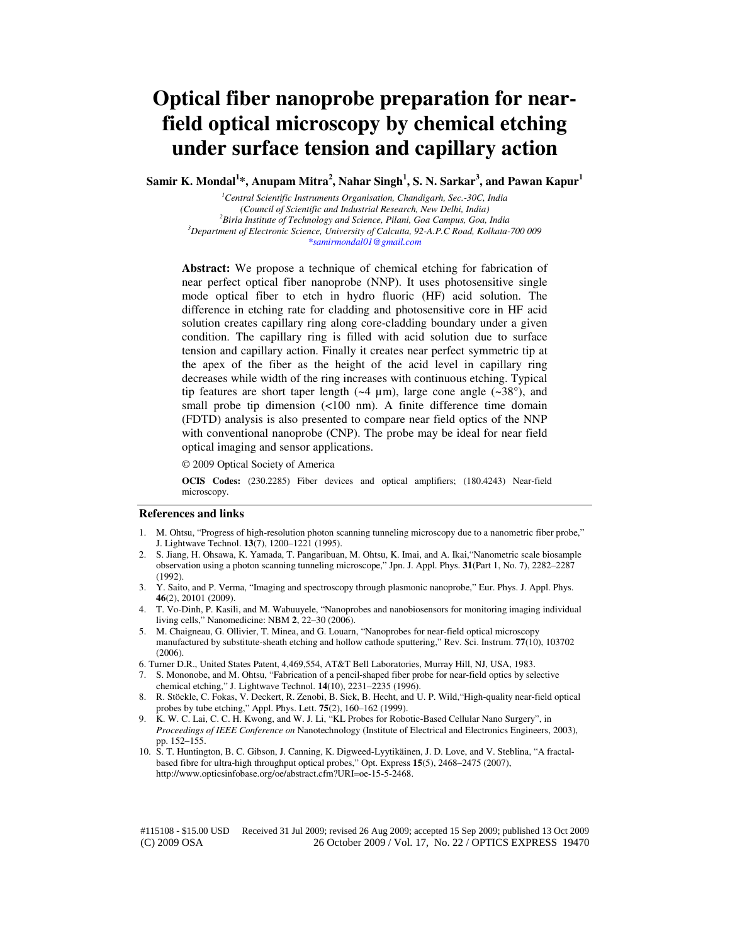# **Optical fiber nanoprobe preparation for nearfield optical microscopy by chemical etching under surface tension and capillary action**

**Samir K. Mondal<sup>1</sup> \*, Anupam Mitra<sup>2</sup> , Nahar Singh<sup>1</sup> , S. N. Sarkar<sup>3</sup> , and Pawan Kapur<sup>1</sup>**

*<sup>1</sup>Central Scientific Instruments Organisation, Chandigarh, Sec.-30C, India (Council of Scientific and Industrial Research, New Delhi, India) <sup>2</sup>Birla Institute of Technology and Science, Pilani, Goa Campus, Goa, India <sup>3</sup>Department of Electronic Science, University of Calcutta, 92-A.P.C Road, Kolkata-700 009 \*samirmondal01@gmail.com* 

**Abstract:** We propose a technique of chemical etching for fabrication of near perfect optical fiber nanoprobe (NNP). It uses photosensitive single mode optical fiber to etch in hydro fluoric (HF) acid solution. The difference in etching rate for cladding and photosensitive core in HF acid solution creates capillary ring along core-cladding boundary under a given condition. The capillary ring is filled with acid solution due to surface tension and capillary action. Finally it creates near perfect symmetric tip at the apex of the fiber as the height of the acid level in capillary ring decreases while width of the ring increases with continuous etching. Typical tip features are short taper length  $(-4 \mu m)$ , large cone angle  $(-38^{\circ})$ , and small probe tip dimension (<100 nm). A finite difference time domain (FDTD) analysis is also presented to compare near field optics of the NNP with conventional nanoprobe (CNP). The probe may be ideal for near field optical imaging and sensor applications.

© 2009 Optical Society of America

**OCIS Codes:** (230.2285) Fiber devices and optical amplifiers; (180.4243) Near-field microscopy.

#### **References and links**

- 1. M. Ohtsu, "Progress of high-resolution photon scanning tunneling microscopy due to a nanometric fiber probe," J. Lightwave Technol. **13**(7), 1200–1221 (1995).
- 2. S. Jiang, H. Ohsawa, K. Yamada, T. Pangaribuan, M. Ohtsu, K. Imai, and A. Ikai,"Nanometric scale biosample observation using a photon scanning tunneling microscope," Jpn. J. Appl. Phys. **31**(Part 1, No. 7), 2282–2287 (1992).
- 3. Y. Saito, and P. Verma, "Imaging and spectroscopy through plasmonic nanoprobe," Eur. Phys. J. Appl. Phys. **46**(2), 20101 (2009).
- 4. T. Vo-Dinh, P. Kasili, and M. Wabuuyele, "Nanoprobes and nanobiosensors for monitoring imaging individual living cells," Nanomedicine: NBM **2**, 22–30 (2006).
- 5. M. Chaigneau, G. Ollivier, T. Minea, and G. Louarn, "Nanoprobes for near-field optical microscopy manufactured by substitute-sheath etching and hollow cathode sputtering," Rev. Sci. Instrum. **77**(10), 103702  $(2006)$ .
- 6. Turner D.R., United States Patent, 4,469,554, AT&T Bell Laboratories, Murray Hill, NJ, USA, 1983.
- 7. S. Mononobe, and M. Ohtsu, "Fabrication of a pencil-shaped fiber probe for near-field optics by selective chemical etching," J. Lightwave Technol. **14**(10), 2231–2235 (1996).
- 8. R. Stöckle, C. Fokas, V. Deckert, R. Zenobi, B. Sick, B. Hecht, and U. P. Wild,"High-quality near-field optical probes by tube etching," Appl. Phys. Lett. **75**(2), 160–162 (1999).
- 9. K. W. C. Lai, C. C. H. Kwong, and W. J. Li, "KL Probes for Robotic-Based Cellular Nano Surgery", in *Proceedings of IEEE Conference on* Nanotechnology (Institute of Electrical and Electronics Engineers, 2003), pp. 152–155.
- 10. S. T. Huntington, B. C. Gibson, J. Canning, K. Digweed-Lyytikäinen, J. D. Love, and V. Steblina, "A fractalbased fibre for ultra-high throughput optical probes," Opt. Express **15**(5), 2468–2475 (2007), http://www.opticsinfobase.org/oe/abstract.cfm?URI=oe-15-5-2468.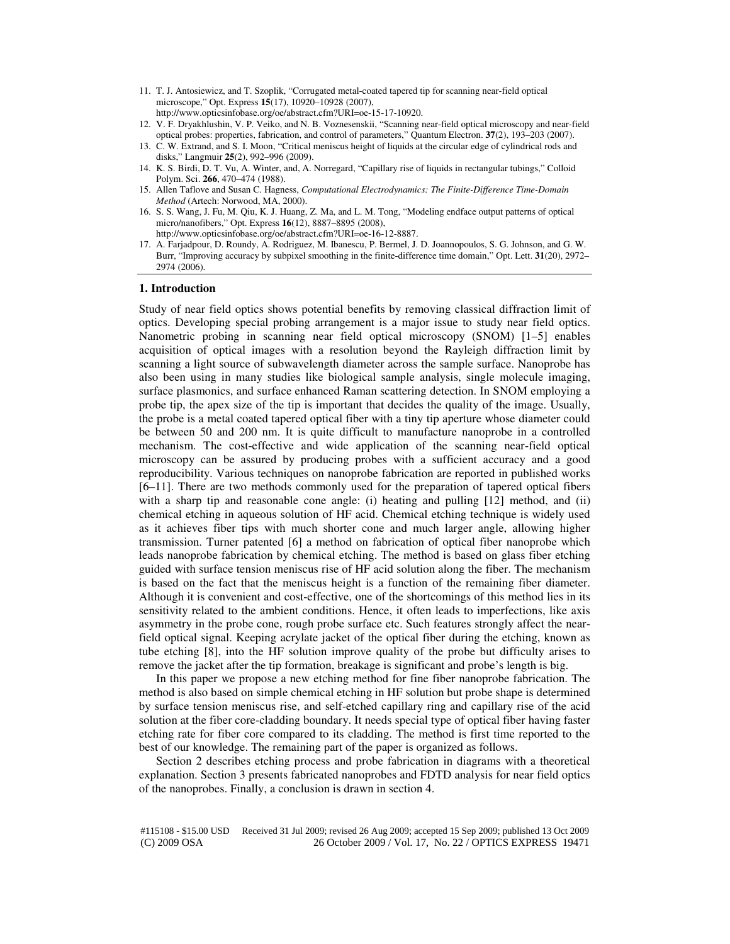- 11. T. J. Antosiewicz, and T. Szoplik, "Corrugated metal-coated tapered tip for scanning near-field optical microscope," Opt. Express **15**(17), 10920–10928 (2007), http://www.opticsinfobase.org/oe/abstract.cfm?URI=oe-15-17-10920.
- 12. V. F. Dryakhlushin, V. P. Veiko, and N. B. Voznesenskii, "Scanning near-field optical microscopy and near-field optical probes: properties, fabrication, and control of parameters," Quantum Electron. **37**(2), 193–203 (2007).
- 13. C. W. Extrand, and S. I. Moon, "Critical meniscus height of liquids at the circular edge of cylindrical rods and disks," Langmuir **25**(2), 992–996 (2009).
- 14. K. S. Birdi, D. T. Vu, A. Winter, and, A. Norregard, "Capillary rise of liquids in rectangular tubings," Colloid Polym. Sci. **266**, 470–474 (1988).
- 15. Allen Taflove and Susan C. Hagness, *Computational Electrodynamics: The Finite-Difference Time-Domain Method* (Artech: Norwood, MA, 2000).
- 16. S. S. Wang, J. Fu, M. Qiu, K. J. Huang, Z. Ma, and L. M. Tong, "Modeling endface output patterns of optical micro/nanofibers," Opt. Express **16**(12), 8887–8895 (2008), http://www.opticsinfobase.org/oe/abstract.cfm?URI=oe-16-12-8887.
- 17. A. Farjadpour, D. Roundy, A. Rodriguez, M. Ibanescu, P. Bermel, J. D. Joannopoulos, S. G. Johnson, and G. W. Burr, "Improving accuracy by subpixel smoothing in the finite-difference time domain," Opt. Lett. **31**(20), 2972– 2974 (2006).

## **1. Introduction**

Study of near field optics shows potential benefits by removing classical diffraction limit of optics. Developing special probing arrangement is a major issue to study near field optics. Nanometric probing in scanning near field optical microscopy (SNOM) [1–5] enables acquisition of optical images with a resolution beyond the Rayleigh diffraction limit by scanning a light source of subwavelength diameter across the sample surface. Nanoprobe has also been using in many studies like biological sample analysis, single molecule imaging, surface plasmonics, and surface enhanced Raman scattering detection. In SNOM employing a probe tip, the apex size of the tip is important that decides the quality of the image. Usually, the probe is a metal coated tapered optical fiber with a tiny tip aperture whose diameter could be between 50 and 200 nm. It is quite difficult to manufacture nanoprobe in a controlled mechanism. The cost-effective and wide application of the scanning near-field optical microscopy can be assured by producing probes with a sufficient accuracy and a good reproducibility. Various techniques on nanoprobe fabrication are reported in published works [6–11]. There are two methods commonly used for the preparation of tapered optical fibers with a sharp tip and reasonable cone angle: (i) heating and pulling [12] method, and (ii) chemical etching in aqueous solution of HF acid. Chemical etching technique is widely used as it achieves fiber tips with much shorter cone and much larger angle, allowing higher transmission. Turner patented [6] a method on fabrication of optical fiber nanoprobe which leads nanoprobe fabrication by chemical etching. The method is based on glass fiber etching guided with surface tension meniscus rise of HF acid solution along the fiber. The mechanism is based on the fact that the meniscus height is a function of the remaining fiber diameter. Although it is convenient and cost-effective, one of the shortcomings of this method lies in its sensitivity related to the ambient conditions. Hence, it often leads to imperfections, like axis asymmetry in the probe cone, rough probe surface etc. Such features strongly affect the nearfield optical signal. Keeping acrylate jacket of the optical fiber during the etching, known as tube etching [8], into the HF solution improve quality of the probe but difficulty arises to remove the jacket after the tip formation, breakage is significant and probe's length is big.

In this paper we propose a new etching method for fine fiber nanoprobe fabrication. The method is also based on simple chemical etching in HF solution but probe shape is determined by surface tension meniscus rise, and self-etched capillary ring and capillary rise of the acid solution at the fiber core-cladding boundary. It needs special type of optical fiber having faster etching rate for fiber core compared to its cladding. The method is first time reported to the best of our knowledge. The remaining part of the paper is organized as follows.

Section 2 describes etching process and probe fabrication in diagrams with a theoretical explanation. Section 3 presents fabricated nanoprobes and FDTD analysis for near field optics of the nanoprobes. Finally, a conclusion is drawn in section 4.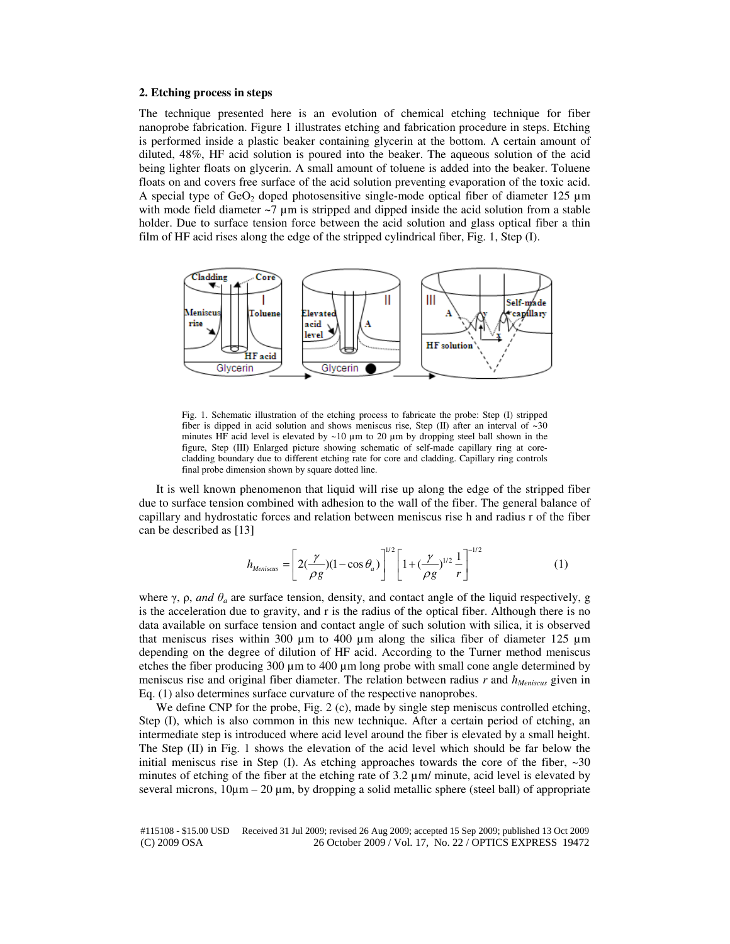# **2. Etching process in steps**

The technique presented here is an evolution of chemical etching technique for fiber nanoprobe fabrication. Figure 1 illustrates etching and fabrication procedure in steps. Etching is performed inside a plastic beaker containing glycerin at the bottom. A certain amount of diluted, 48%, HF acid solution is poured into the beaker. The aqueous solution of the acid being lighter floats on glycerin. A small amount of toluene is added into the beaker. Toluene floats on and covers free surface of the acid solution preventing evaporation of the toxic acid. A special type of  $GeO<sub>2</sub>$  doped photosensitive single-mode optical fiber of diameter 125  $\mu$ m with mode field diameter  $\sim$ 7  $\mu$ m is stripped and dipped inside the acid solution from a stable holder. Due to surface tension force between the acid solution and glass optical fiber a thin film of HF acid rises along the edge of the stripped cylindrical fiber, Fig. 1, Step (I).



Fig. 1. Schematic illustration of the etching process to fabricate the probe: Step (I) stripped fiber is dipped in acid solution and shows meniscus rise, Step (II) after an interval of  $\sim$ 30 minutes HF acid level is elevated by  $\sim$ 10  $\mu$ m to 20  $\mu$ m by dropping steel ball shown in the figure, Step (III) Enlarged picture showing schematic of self-made capillary ring at corecladding boundary due to different etching rate for core and cladding. Capillary ring controls final probe dimension shown by square dotted line.

It is well known phenomenon that liquid will rise up along the edge of the stripped fiber due to surface tension combined with adhesion to the wall of the fiber. The general balance of capillary and hydrostatic forces and relation between meniscus rise h and radius r of the fiber can be described as [13]

$$
h_{Meniscus} = \left[2\left(\frac{\gamma}{\rho g}\right)\left(1 - \cos\theta_a\right)\right]^{1/2} \left[1 + \left(\frac{\gamma}{\rho g}\right)^{1/2} \frac{1}{r}\right]^{-1/2} \tag{1}
$$

where  $\gamma$ ,  $\rho$ , *and*  $\theta$ *<sub>a</sub>* are surface tension, density, and contact angle of the liquid respectively, g is the acceleration due to gravity, and r is the radius of the optical fiber. Although there is no data available on surface tension and contact angle of such solution with silica, it is observed that meniscus rises within 300  $\mu$ m to 400  $\mu$ m along the silica fiber of diameter 125  $\mu$ m depending on the degree of dilution of HF acid. According to the Turner method meniscus etches the fiber producing  $300 \mu m$  to  $400 \mu m$  long probe with small cone angle determined by meniscus rise and original fiber diameter. The relation between radius *r* and *hMeniscus* given in Eq. (1) also determines surface curvature of the respective nanoprobes.

We define CNP for the probe, Fig. 2 (c), made by single step meniscus controlled etching, Step (I), which is also common in this new technique. After a certain period of etching, an intermediate step is introduced where acid level around the fiber is elevated by a small height. The Step (II) in Fig. 1 shows the elevation of the acid level which should be far below the initial meniscus rise in Step (I). As etching approaches towards the core of the fiber,  $\sim$ 30 minutes of etching of the fiber at the etching rate of 3.2  $\mu$ m/ minute, acid level is elevated by several microns,  $10\mu$ m – 20  $\mu$ m, by dropping a solid metallic sphere (steel ball) of appropriate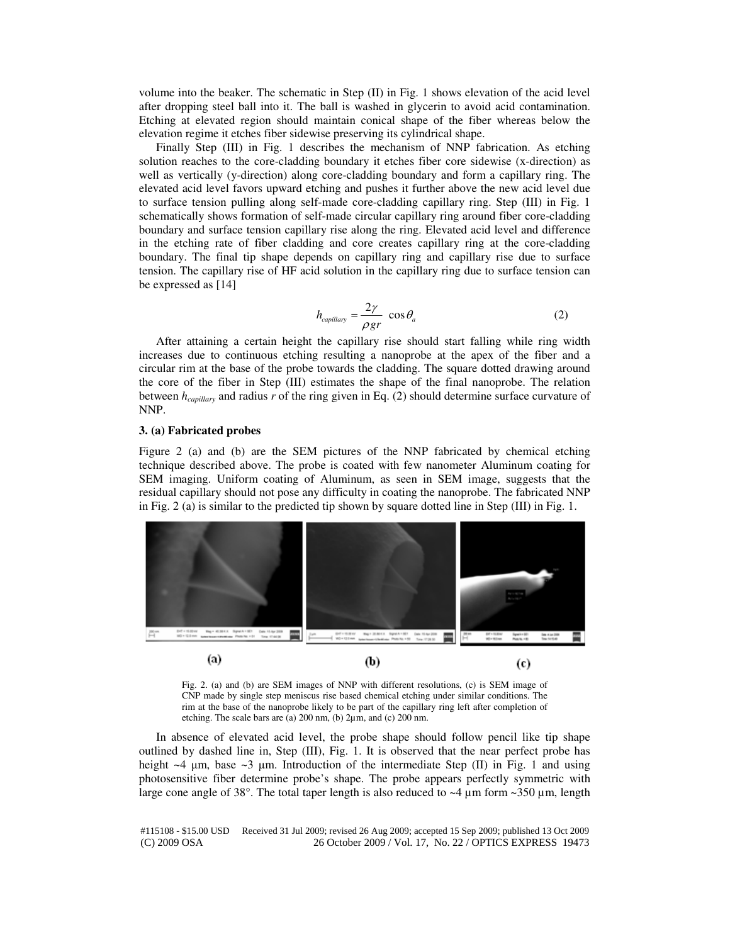volume into the beaker. The schematic in Step (II) in Fig. 1 shows elevation of the acid level after dropping steel ball into it. The ball is washed in glycerin to avoid acid contamination. Etching at elevated region should maintain conical shape of the fiber whereas below the elevation regime it etches fiber sidewise preserving its cylindrical shape.

Finally Step (III) in Fig. 1 describes the mechanism of NNP fabrication. As etching solution reaches to the core-cladding boundary it etches fiber core sidewise (x-direction) as well as vertically (y-direction) along core-cladding boundary and form a capillary ring. The elevated acid level favors upward etching and pushes it further above the new acid level due to surface tension pulling along self-made core-cladding capillary ring. Step (III) in Fig. 1 schematically shows formation of self-made circular capillary ring around fiber core-cladding boundary and surface tension capillary rise along the ring. Elevated acid level and difference in the etching rate of fiber cladding and core creates capillary ring at the core-cladding boundary. The final tip shape depends on capillary ring and capillary rise due to surface tension. The capillary rise of HF acid solution in the capillary ring due to surface tension can be expressed as [14]

$$
h_{capillary} = \frac{2\gamma}{\rho gr} \cos \theta_a \tag{2}
$$

After attaining a certain height the capillary rise should start falling while ring width increases due to continuous etching resulting a nanoprobe at the apex of the fiber and a circular rim at the base of the probe towards the cladding. The square dotted drawing around the core of the fiber in Step (III) estimates the shape of the final nanoprobe. The relation between *hcapillary* and radius *r* of the ring given in Eq. (2) should determine surface curvature of NNP.

# **3. (a) Fabricated probes**

Figure 2 (a) and (b) are the SEM pictures of the NNP fabricated by chemical etching technique described above. The probe is coated with few nanometer Aluminum coating for SEM imaging. Uniform coating of Aluminum, as seen in SEM image, suggests that the residual capillary should not pose any difficulty in coating the nanoprobe. The fabricated NNP in Fig. 2 (a) is similar to the predicted tip shown by square dotted line in Step (III) in Fig. 1.



Fig. 2. (a) and (b) are SEM images of NNP with different resolutions, (c) is SEM image of CNP made by single step meniscus rise based chemical etching under similar conditions. The rim at the base of the nanoprobe likely to be part of the capillary ring left after completion of etching. The scale bars are (a) 200 nm, (b) 2µm, and (c) 200 nm.

In absence of elevated acid level, the probe shape should follow pencil like tip shape outlined by dashed line in, Step (III), Fig. 1. It is observed that the near perfect probe has height  $\sim$ 4 µm, base  $\sim$ 3 µm. Introduction of the intermediate Step (II) in Fig. 1 and using photosensitive fiber determine probe's shape. The probe appears perfectly symmetric with large cone angle of 38°. The total taper length is also reduced to  $\sim$ 4  $\mu$ m form  $\sim$ 350  $\mu$ m, length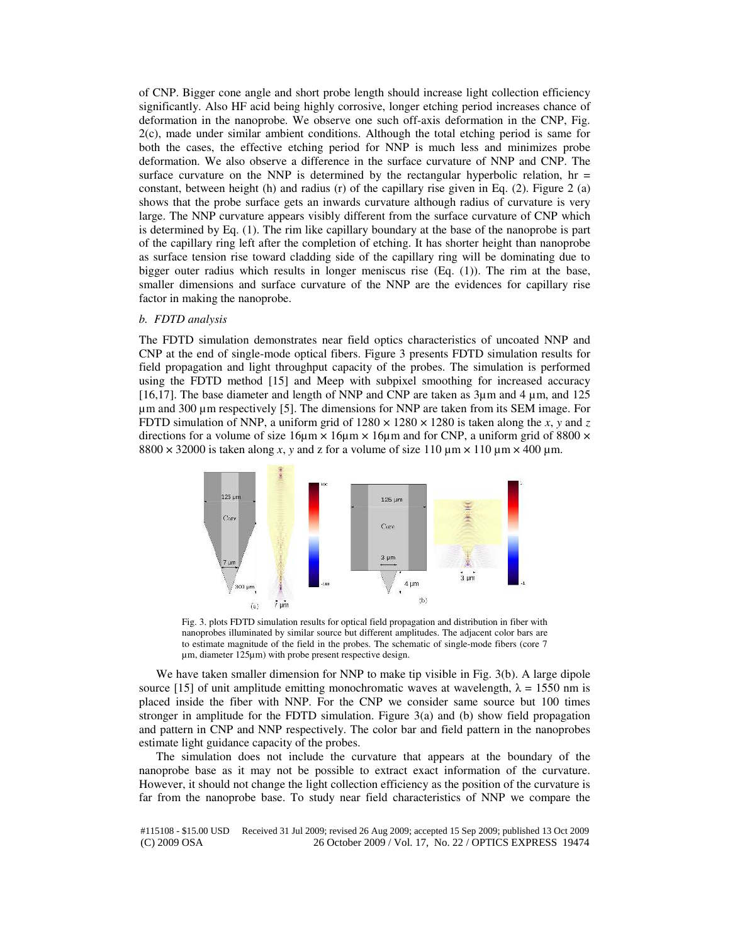of CNP. Bigger cone angle and short probe length should increase light collection efficiency significantly. Also HF acid being highly corrosive, longer etching period increases chance of deformation in the nanoprobe. We observe one such off-axis deformation in the CNP, Fig. 2(c), made under similar ambient conditions. Although the total etching period is same for both the cases, the effective etching period for NNP is much less and minimizes probe deformation. We also observe a difference in the surface curvature of NNP and CNP. The surface curvature on the NNP is determined by the rectangular hyperbolic relation,  $hr =$ constant, between height (h) and radius (r) of the capillary rise given in Eq.  $(2)$ . Figure 2 (a) shows that the probe surface gets an inwards curvature although radius of curvature is very large. The NNP curvature appears visibly different from the surface curvature of CNP which is determined by Eq. (1). The rim like capillary boundary at the base of the nanoprobe is part of the capillary ring left after the completion of etching. It has shorter height than nanoprobe as surface tension rise toward cladding side of the capillary ring will be dominating due to bigger outer radius which results in longer meniscus rise (Eq. (1)). The rim at the base, smaller dimensions and surface curvature of the NNP are the evidences for capillary rise factor in making the nanoprobe.

### *b. FDTD analysis*

The FDTD simulation demonstrates near field optics characteristics of uncoated NNP and CNP at the end of single-mode optical fibers. Figure 3 presents FDTD simulation results for field propagation and light throughput capacity of the probes. The simulation is performed using the FDTD method [15] and Meep with subpixel smoothing for increased accuracy [16,17]. The base diameter and length of NNP and CNP are taken as 3µm and 4 µm, and 125 µm and 300 µm respectively [5]. The dimensions for NNP are taken from its SEM image. For FDTD simulation of NNP, a uniform grid of  $1280 \times 1280 \times 1280$  is taken along the *x*, *y* and *z* directions for a volume of size  $16\mu$ m  $\times$   $16\mu$ m  $\times$  16 $\mu$ m and for CNP, a uniform grid of 8800  $\times$  $8800 \times 32000$  is taken along *x*, *y* and *z* for a volume of size 110  $\mu$ m  $\times$  110  $\mu$ m  $\times$  400  $\mu$ m.



Fig. 3. plots FDTD simulation results for optical field propagation and distribution in fiber with nanoprobes illuminated by similar source but different amplitudes. The adjacent color bars are to estimate magnitude of the field in the probes. The schematic of single-mode fibers (core 7 µm, diameter 125µm) with probe present respective design.

We have taken smaller dimension for NNP to make tip visible in Fig. 3(b). A large dipole source [15] of unit amplitude emitting monochromatic waves at wavelength,  $\lambda = 1550$  nm is placed inside the fiber with NNP. For the CNP we consider same source but 100 times stronger in amplitude for the FDTD simulation. Figure 3(a) and (b) show field propagation and pattern in CNP and NNP respectively. The color bar and field pattern in the nanoprobes estimate light guidance capacity of the probes.

The simulation does not include the curvature that appears at the boundary of the nanoprobe base as it may not be possible to extract exact information of the curvature. However, it should not change the light collection efficiency as the position of the curvature is far from the nanoprobe base. To study near field characteristics of NNP we compare the